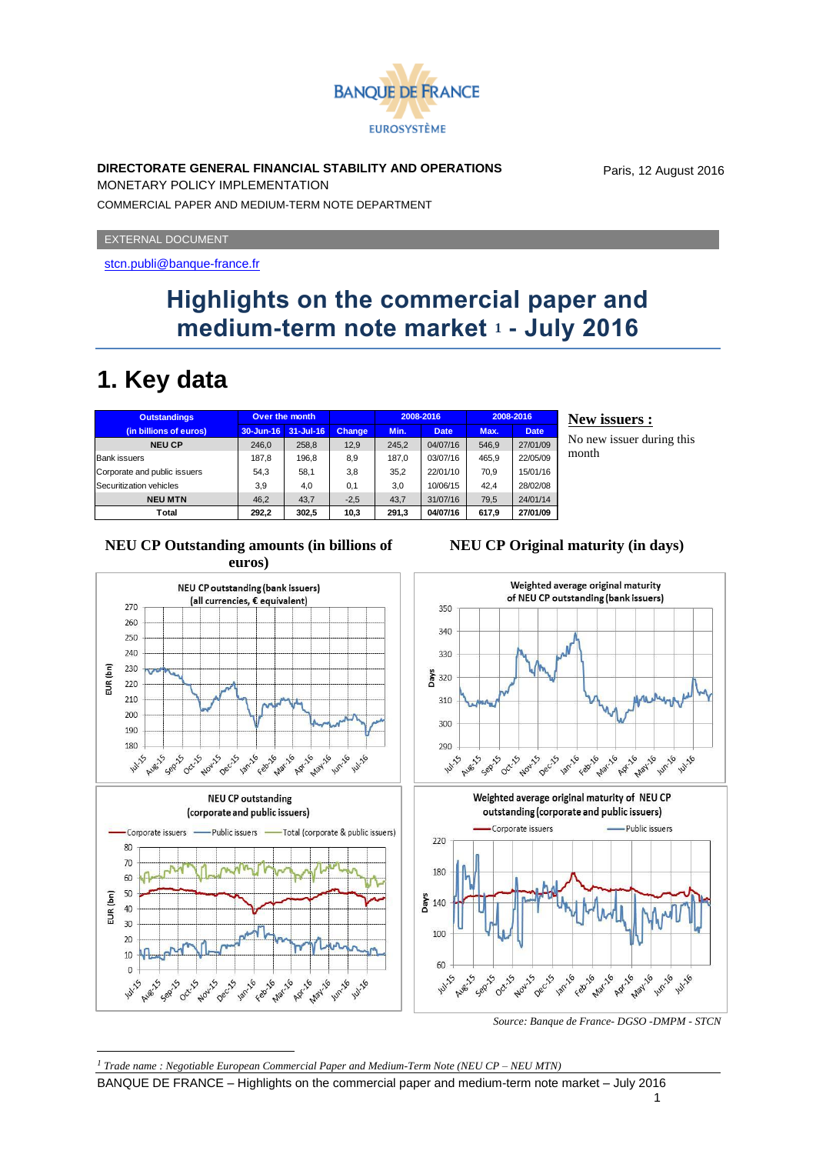

### **DIRECTORATE GENERAL FINANCIAL STABILITY AND OPERATIONS**

Paris, 12 August 2016

MONETARY POLICY IMPLEMENTATION COMMERCIAL PAPER AND MEDIUM-TERM NOTE DEPARTMENT

EXTERNAL DOCUMENT

<stcn.publi@banque-france.fr>

### **Highlights on the commercial paper and medium-term note market <sup>1</sup> - July 2016**

## **1. Key data**

| <b>Outstandings</b>          | Over the month |               |               |       | 2008-2016   |       | 2008-2016   |
|------------------------------|----------------|---------------|---------------|-------|-------------|-------|-------------|
| (in billions of euros)       | 30-Jun-16      | $31 -$ Jul-16 | <b>Change</b> | Min.  | <b>Date</b> | Max.  | <b>Date</b> |
| <b>NEU CP</b>                | 246.0          | 258.8         | 12.9          | 245.2 | 04/07/16    | 546.9 | 27/01/09    |
| <b>Bank issuers</b>          | 187.8          | 196.8         | 8,9           | 187.0 | 03/07/16    | 465.9 | 22/05/09    |
| Corporate and public issuers | 54.3           | 58.1          | 3.8           | 35.2  | 22/01/10    | 70.9  | 15/01/16    |
| Securitization vehicles      | 3.9            | 4,0           | 0.1           | 3.0   | 10/06/15    | 42.4  | 28/02/08    |
| <b>NEU MTN</b>               | 46.2           | 43.7          | $-2.5$        | 43.7  | 31/07/16    | 79.5  | 24/01/14    |
| Total                        | 292.2          | 302.5         | 10,3          | 291.3 | 04/07/16    | 617.9 | 27/01/09    |

#### **New issuers :**

No new issuer during this month











*Source: Banque de France- DGSO -DMPM - STCN*

1

1

BANQUE DE FRANCE – Highlights on the commercial paper and medium-term note market – July 2016